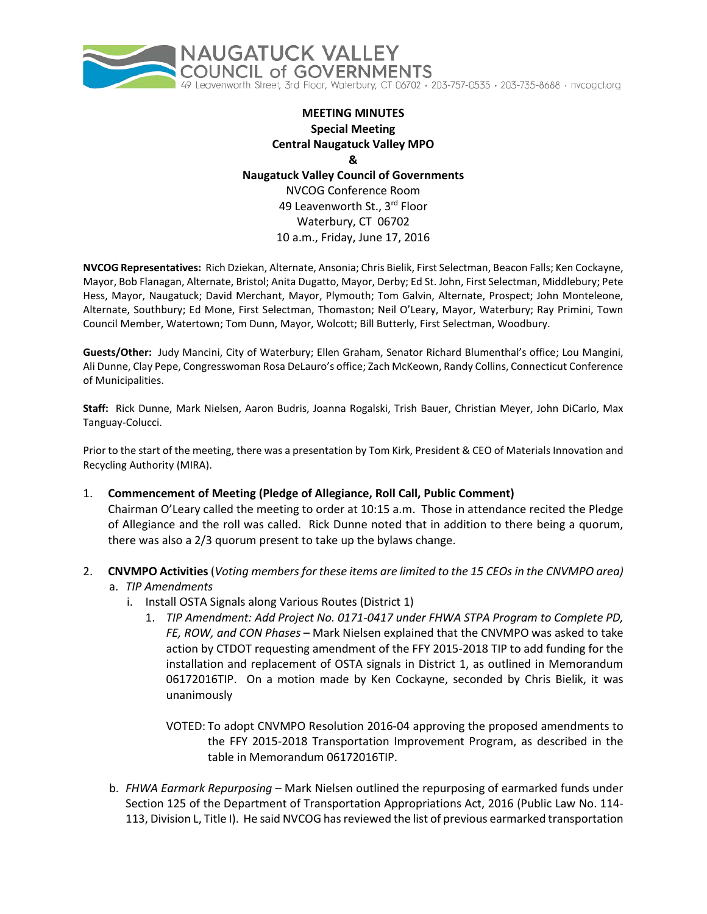

# **MEETING MINUTES Special Meeting Central Naugatuck Valley MPO & Naugatuck Valley Council of Governments** NVCOG Conference Room 49 Leavenworth St., 3<sup>rd</sup> Floor Waterbury, CT 06702

10 a.m., Friday, June 17, 2016

**NVCOG Representatives:** Rich Dziekan, Alternate, Ansonia; Chris Bielik, First Selectman, Beacon Falls; Ken Cockayne, Mayor, Bob Flanagan, Alternate, Bristol; Anita Dugatto, Mayor, Derby; Ed St. John, First Selectman, Middlebury; Pete Hess, Mayor, Naugatuck; David Merchant, Mayor, Plymouth; Tom Galvin, Alternate, Prospect; John Monteleone, Alternate, Southbury; Ed Mone, First Selectman, Thomaston; Neil O'Leary, Mayor, Waterbury; Ray Primini, Town Council Member, Watertown; Tom Dunn, Mayor, Wolcott; Bill Butterly, First Selectman, Woodbury.

**Guests/Other:** Judy Mancini, City of Waterbury; Ellen Graham, Senator Richard Blumenthal's office; Lou Mangini, Ali Dunne, Clay Pepe, Congresswoman Rosa DeLauro's office; Zach McKeown, Randy Collins, Connecticut Conference of Municipalities.

**Staff:** Rick Dunne, Mark Nielsen, Aaron Budris, Joanna Rogalski, Trish Bauer, Christian Meyer, John DiCarlo, Max Tanguay-Colucci.

Prior to the start of the meeting, there was a presentation by Tom Kirk, President & CEO of Materials Innovation and Recycling Authority (MIRA).

- 1. **Commencement of Meeting (Pledge of Allegiance, Roll Call, Public Comment)** Chairman O'Leary called the meeting to order at 10:15 a.m. Those in attendance recited the Pledge of Allegiance and the roll was called. Rick Dunne noted that in addition to there being a quorum, there was also a 2/3 quorum present to take up the bylaws change.
- 2. **CNVMPO Activities** (*Voting members for these items are limited to the 15 CEOs in the CNVMPO area)*
	- a. *TIP Amendments*
		- i. Install OSTA Signals along Various Routes (District 1)
			- 1. *TIP Amendment: Add Project No. 0171-0417 under FHWA STPA Program to Complete PD, FE, ROW, and CON Phases* – Mark Nielsen explained that the CNVMPO was asked to take action by CTDOT requesting amendment of the FFY 2015-2018 TIP to add funding for the installation and replacement of OSTA signals in District 1, as outlined in Memorandum 06172016TIP. On a motion made by Ken Cockayne, seconded by Chris Bielik, it was unanimously
				- VOTED: To adopt CNVMPO Resolution 2016-04 approving the proposed amendments to the FFY 2015-2018 Transportation Improvement Program, as described in the table in Memorandum 06172016TIP.
	- b. *FHWA Earmark Repurposing*  Mark Nielsen outlined the repurposing of earmarked funds under Section 125 of the Department of Transportation Appropriations Act, 2016 (Public Law No. 114- 113, Division L, Title I). He said NVCOG has reviewed the list of previous earmarked transportation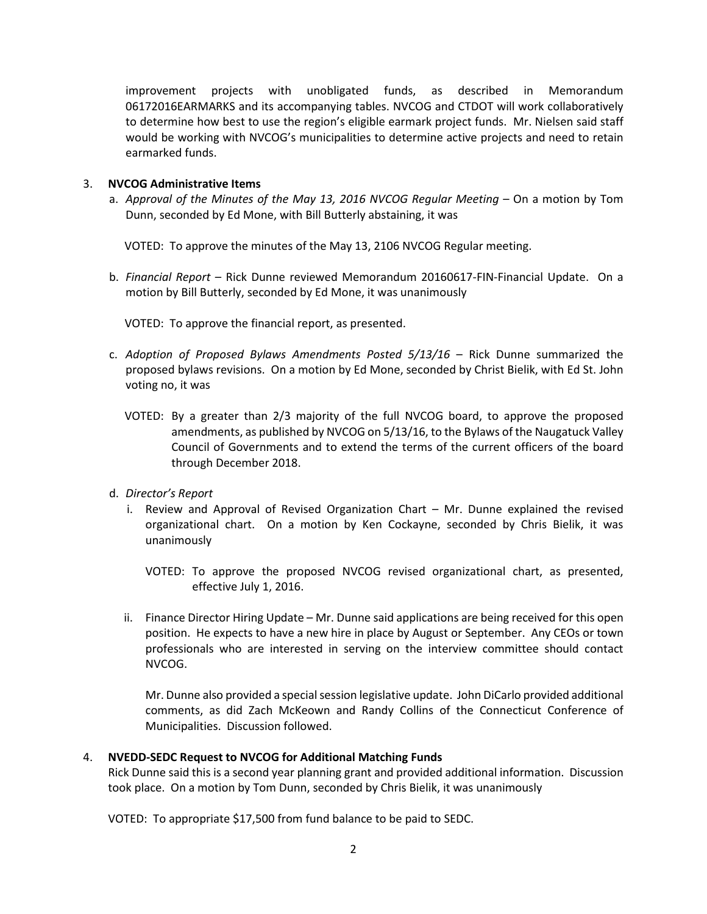improvement projects with unobligated funds, as described in Memorandum 06172016EARMARKS and its accompanying tables. NVCOG and CTDOT will work collaboratively to determine how best to use the region's eligible earmark project funds. Mr. Nielsen said staff would be working with NVCOG's municipalities to determine active projects and need to retain earmarked funds.

## 3. **NVCOG Administrative Items**

a. *Approval of the Minutes of the May 13, 2016 NVCOG Regular Meeting* – On a motion by Tom Dunn, seconded by Ed Mone, with Bill Butterly abstaining, it was

VOTED: To approve the minutes of the May 13, 2106 NVCOG Regular meeting.

b. *Financial Report* – Rick Dunne reviewed Memorandum 20160617-FIN-Financial Update. On a motion by Bill Butterly, seconded by Ed Mone, it was unanimously

VOTED: To approve the financial report, as presented.

- c. *Adoption of Proposed Bylaws Amendments Posted 5/13/16* Rick Dunne summarized the proposed bylaws revisions. On a motion by Ed Mone, seconded by Christ Bielik, with Ed St. John voting no, it was
	- VOTED: By a greater than 2/3 majority of the full NVCOG board, to approve the proposed amendments, as published by NVCOG on 5/13/16, to the Bylaws of the Naugatuck Valley Council of Governments and to extend the terms of the current officers of the board through December 2018.
- d. *Director's Report*
	- i. Review and Approval of Revised Organization Chart Mr. Dunne explained the revised organizational chart. On a motion by Ken Cockayne, seconded by Chris Bielik, it was unanimously
		- VOTED: To approve the proposed NVCOG revised organizational chart, as presented, effective July 1, 2016.
	- ii. Finance Director Hiring Update Mr. Dunne said applications are being received for this open position. He expects to have a new hire in place by August or September. Any CEOs or town professionals who are interested in serving on the interview committee should contact NVCOG.

Mr. Dunne also provided a special session legislative update. John DiCarlo provided additional comments, as did Zach McKeown and Randy Collins of the Connecticut Conference of Municipalities. Discussion followed.

## 4. **NVEDD-SEDC Request to NVCOG for Additional Matching Funds**

Rick Dunne said this is a second year planning grant and provided additional information. Discussion took place. On a motion by Tom Dunn, seconded by Chris Bielik, it was unanimously

VOTED: To appropriate \$17,500 from fund balance to be paid to SEDC.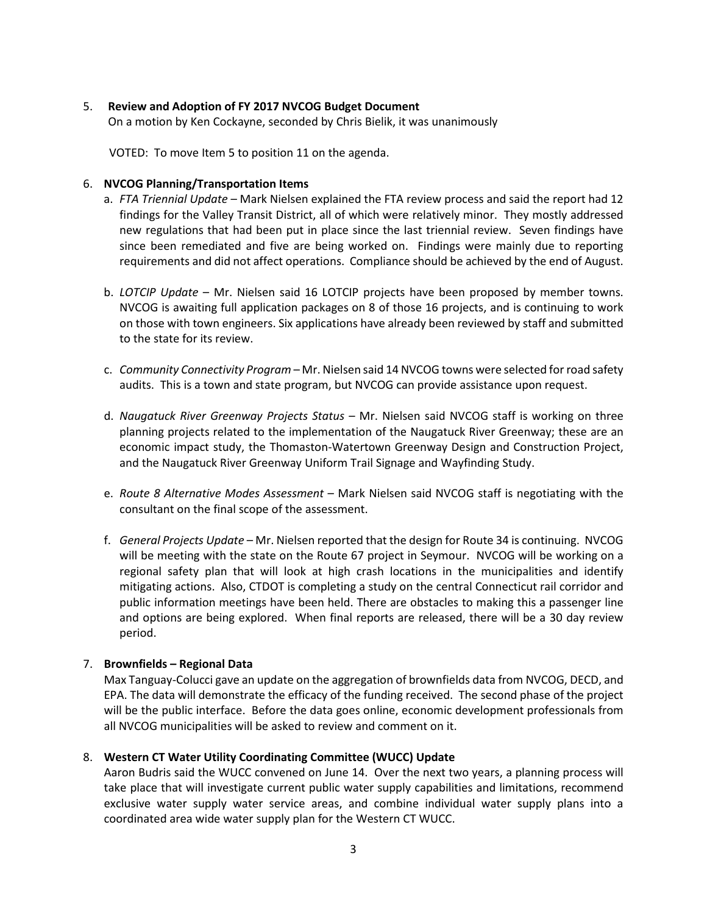## 5. **Review and Adoption of FY 2017 NVCOG Budget Document**

On a motion by Ken Cockayne, seconded by Chris Bielik, it was unanimously

VOTED: To move Item 5 to position 11 on the agenda.

#### 6. **NVCOG Planning/Transportation Items**

- a. *FTA Triennial Update* Mark Nielsen explained the FTA review process and said the report had 12 findings for the Valley Transit District, all of which were relatively minor. They mostly addressed new regulations that had been put in place since the last triennial review. Seven findings have since been remediated and five are being worked on. Findings were mainly due to reporting requirements and did not affect operations. Compliance should be achieved by the end of August.
- b. *LOTCIP Update* Mr. Nielsen said 16 LOTCIP projects have been proposed by member towns. NVCOG is awaiting full application packages on 8 of those 16 projects, and is continuing to work on those with town engineers. Six applications have already been reviewed by staff and submitted to the state for its review.
- c. *Community Connectivity Program* Mr. Nielsen said 14 NVCOG towns were selected for road safety audits. This is a town and state program, but NVCOG can provide assistance upon request.
- d. *Naugatuck River Greenway Projects Status* Mr. Nielsen said NVCOG staff is working on three planning projects related to the implementation of the Naugatuck River Greenway; these are an economic impact study, the Thomaston-Watertown Greenway Design and Construction Project, and the Naugatuck River Greenway Uniform Trail Signage and Wayfinding Study.
- e. *Route 8 Alternative Modes Assessment*  Mark Nielsen said NVCOG staff is negotiating with the consultant on the final scope of the assessment.
- f. *General Projects Update*  Mr. Nielsen reported that the design for Route 34 is continuing. NVCOG will be meeting with the state on the Route 67 project in Seymour. NVCOG will be working on a regional safety plan that will look at high crash locations in the municipalities and identify mitigating actions. Also, CTDOT is completing a study on the central Connecticut rail corridor and public information meetings have been held. There are obstacles to making this a passenger line and options are being explored. When final reports are released, there will be a 30 day review period.

## 7. **Brownfields – Regional Data**

Max Tanguay-Colucci gave an update on the aggregation of brownfields data from NVCOG, DECD, and EPA. The data will demonstrate the efficacy of the funding received. The second phase of the project will be the public interface. Before the data goes online, economic development professionals from all NVCOG municipalities will be asked to review and comment on it.

## 8. **Western CT Water Utility Coordinating Committee (WUCC) Update**

Aaron Budris said the WUCC convened on June 14. Over the next two years, a planning process will take place that will investigate current public water supply capabilities and limitations, recommend exclusive water supply water service areas, and combine individual water supply plans into a coordinated area wide water supply plan for the Western CT WUCC.